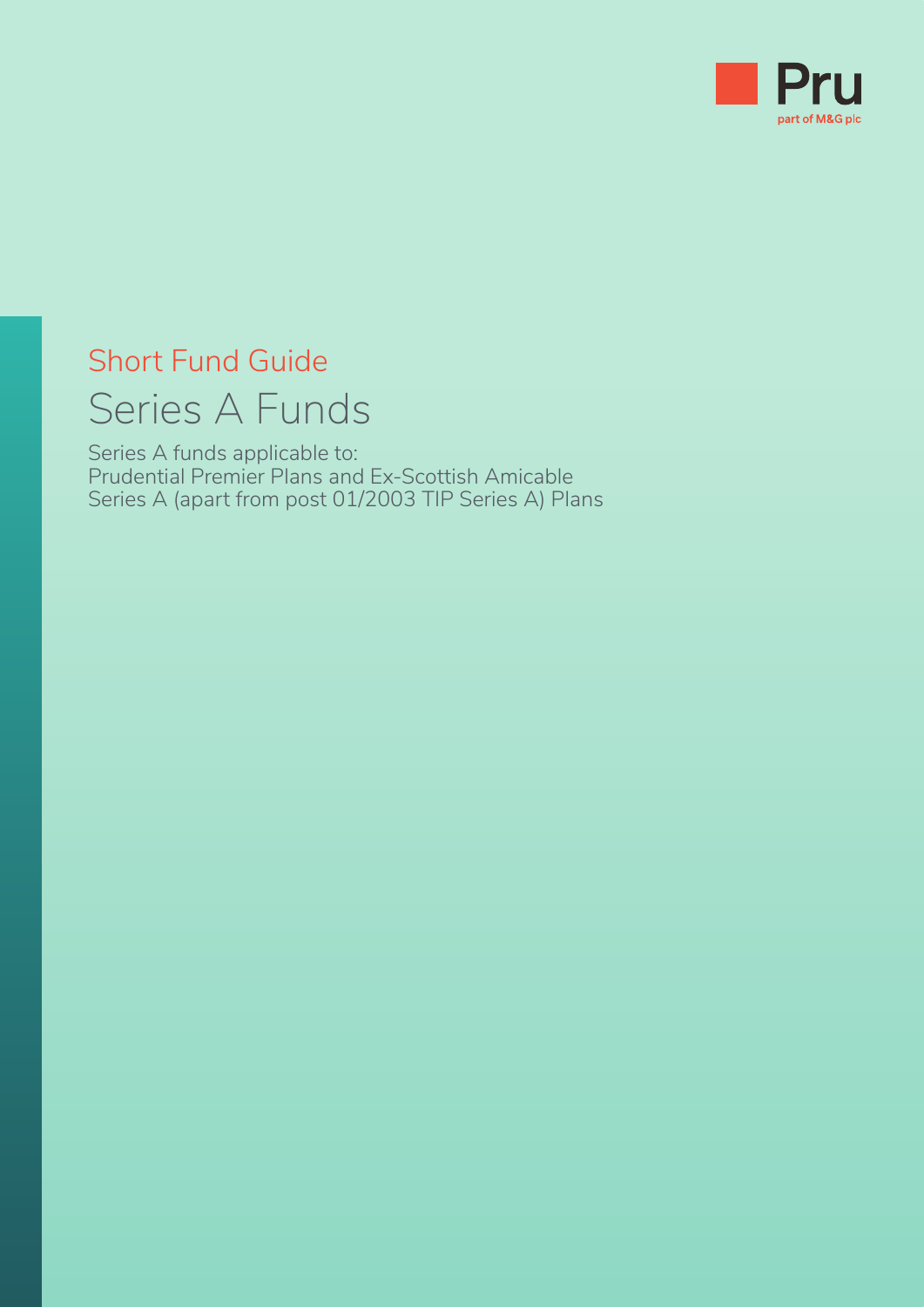

# Short Fund Guide Series A Funds

Series A funds applicable to: Prudential Premier Plans and Ex-Scottish Amicable Series A (apart from post 01/2003 TIP Series A) Plans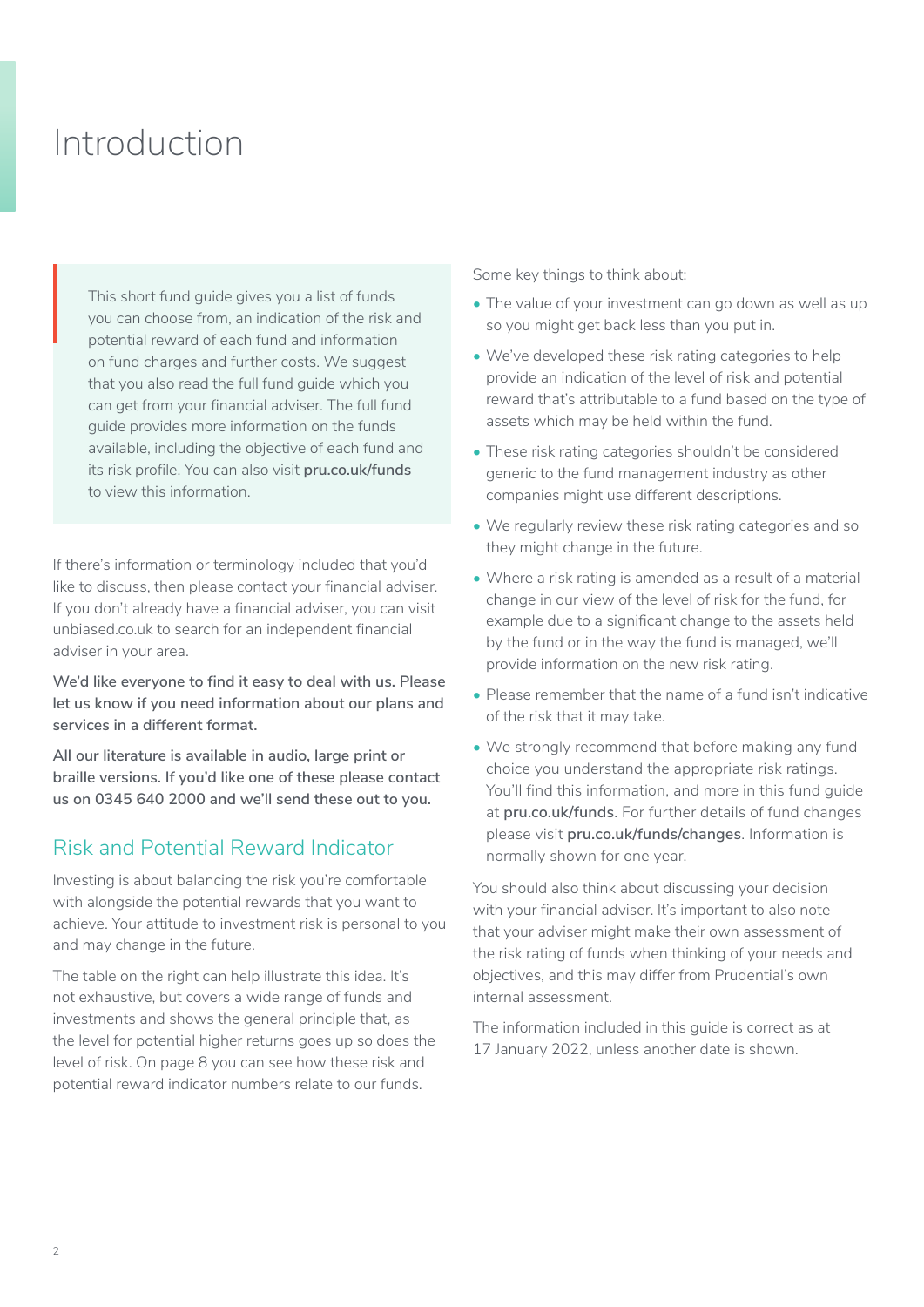## Introduction

This short fund guide gives you a list of funds you can choose from, an indication of the risk and potential reward of each fund and information on fund charges and further costs. We suggest that you also read the full fund guide which you can get from your financial adviser. The full fund guide provides more information on the funds available, including the objective of each fund and its risk profile. You can also visit **[pru.co.uk/funds](https://www.pru.co.uk/funds/)** to view this information. This<br>you<br>pote<br>on fi

If there's information or terminology included that you'd like to discuss, then please contact your financial adviser. If you don't already have a financial adviser, you can visit [unbiased.co.uk](http://unbiased.co.uk) to search for an independent financial adviser in your area.

**We'd like everyone to find it easy to deal with us. Please let us know if you need information about our plans and services in a different format.**

**All our literature is available in audio, large print or braille versions. If you'd like one of these please contact us on 0345 640 2000 and we'll send these out to you.**

## Risk and Potential Reward Indicator

Investing is about balancing the risk you're comfortable with alongside the potential rewards that you want to achieve. Your attitude to investment risk is personal to you and may change in the future.

The table on the right can help illustrate this idea. It's not exhaustive, but covers a wide range of funds and investments and shows the general principle that, as the level for potential higher returns goes up so does the level of risk. On page 8 you can see how these risk and potential reward indicator numbers relate to our funds.

Some key things to think about:

- The value of your investment can go down as well as up so you might get back less than you put in.
- We've developed these risk rating categories to help provide an indication of the level of risk and potential reward that's attributable to a fund based on the type of assets which may be held within the fund.
- These risk rating categories shouldn't be considered generic to the fund management industry as other companies might use different descriptions.
- We regularly review these risk rating categories and so they might change in the future.
- Where a risk rating is amended as a result of a material change in our view of the level of risk for the fund, for example due to a significant change to the assets held by the fund or in the way the fund is managed, we'll provide information on the new risk rating.
- Please remember that the name of a fund isn't indicative of the risk that it may take.
- We strongly recommend that before making any fund choice you understand the appropriate risk ratings. You'll find this information, and more in this fund guide at **[pru.co.uk/funds](https://www.pru.co.uk/funds/)**. For further details of fund changes please visit **[pru.co.uk/funds/changes](https://www.pru.co.uk/funds/fund-changes/pension-and-investment-fund-updates/?utm_source=redirect&utm_medium=301&utm_campaign=/funds/changes/)**. Information is normally shown for one year.

You should also think about discussing your decision with your financial adviser. It's important to also note that your adviser might make their own assessment of the risk rating of funds when thinking of your needs and objectives, and this may differ from Prudential's own internal assessment.

The information included in this guide is correct as at 17 January 2022, unless another date is shown.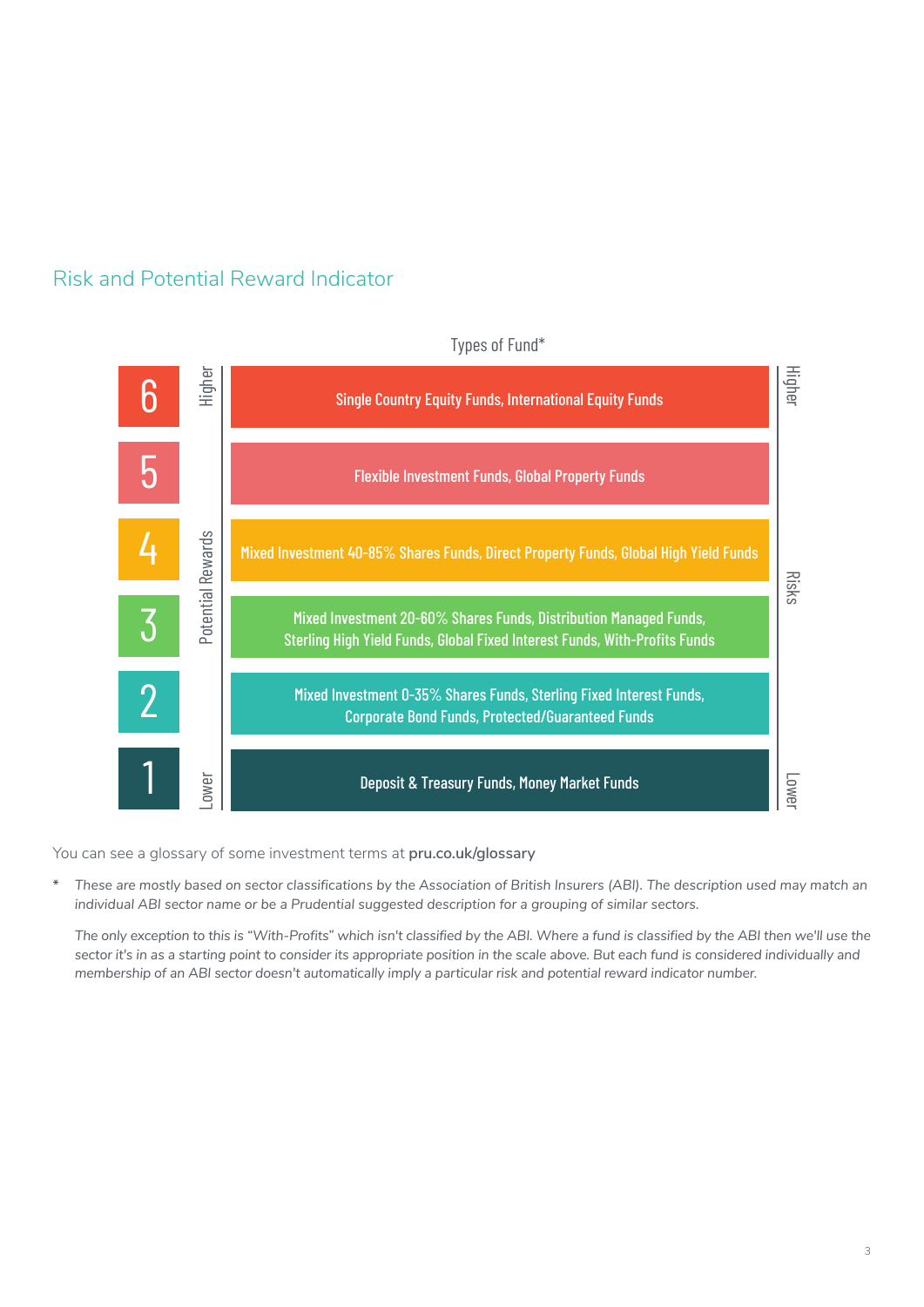



Types of Fund\*

You can see a glossary of some investment terms at **[pru.co.uk/glossary](https://www.pru.co.uk/glossary/)**

**\*** *These are mostly based on sector classifications by the Association of British Insurers (ABI). The description used may match an individual ABI sector name or be a Prudential suggested description for a grouping of similar sectors.* 

*The only exception to this is "With-Profits" which isn't classified by the ABI. Where a fund is classified by the ABI then we'll use the sector it's in as a starting point to consider its appropriate position in the scale above. But each fund is considered individually and membership of an ABI sector doesn't automatically imply a particular risk and potential reward indicator number.*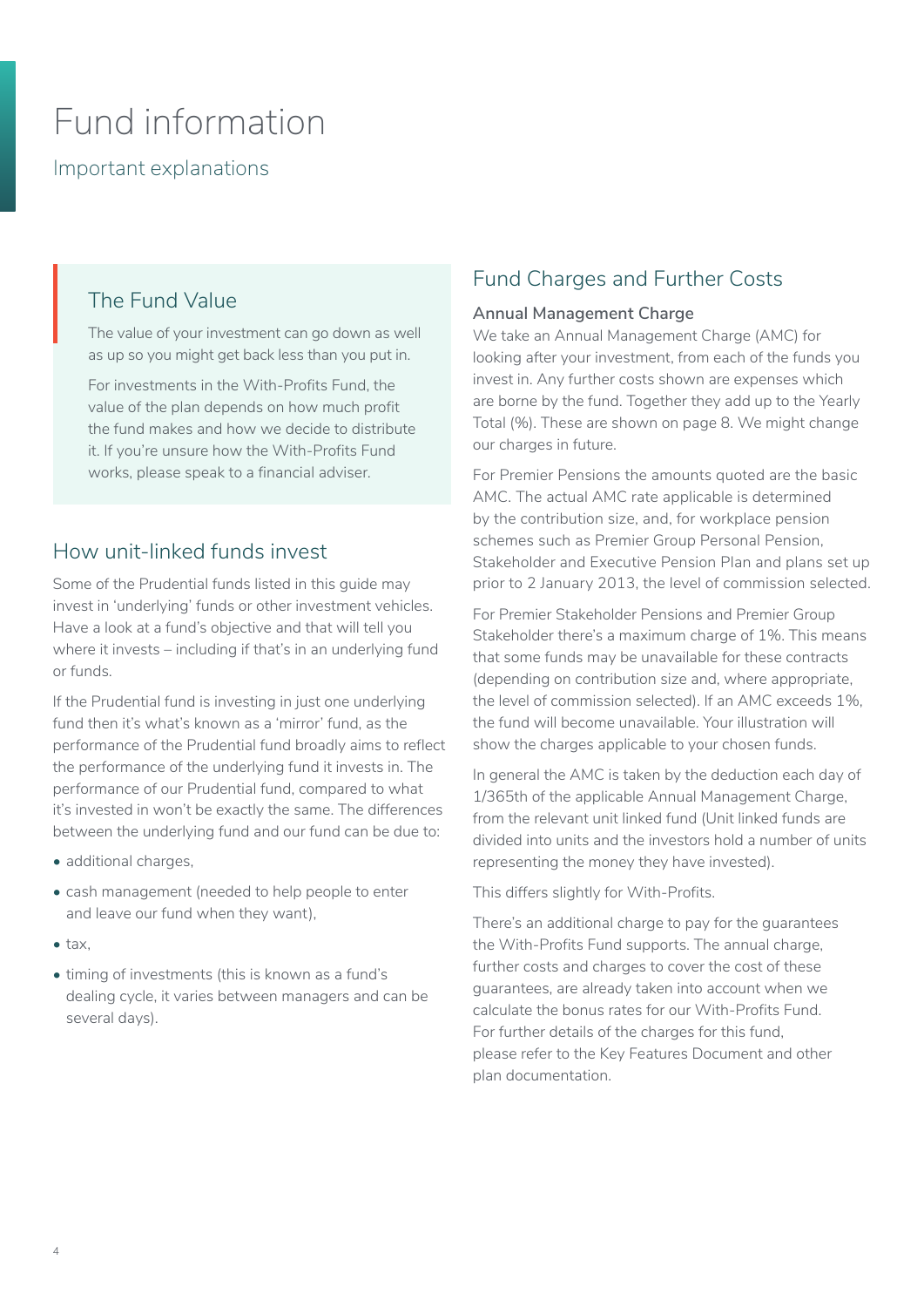## Fund information

Important explanations

### The Fund Value

The value of your investment can go down as well as up so you might get back less than you put in. Th<sub>'</sub><br>The

For investments in the With-Profits Fund, the value of the plan depends on how much profit the fund makes and how we decide to distribute it. If you're unsure how the With-Profits Fund works, please speak to a financial adviser.

## How unit-linked funds invest

Some of the Prudential funds listed in this guide may invest in 'underlying' funds or other investment vehicles. Have a look at a fund's objective and that will tell you where it invests – including if that's in an underlying fund or funds.

If the Prudential fund is investing in just one underlying fund then it's what's known as a 'mirror' fund, as the performance of the Prudential fund broadly aims to reflect the performance of the underlying fund it invests in. The performance of our Prudential fund, compared to what it's invested in won't be exactly the same. The differences between the underlying fund and our fund can be due to:

- additional charges.
- cash management (needed to help people to enter and leave our fund when they want),
- $tax$
- timing of investments (this is known as a fund's dealing cycle, it varies between managers and can be several days).

## Fund Charges and Further Costs

#### **Annual Management Charge**

We take an Annual Management Charge (AMC) for looking after your investment, from each of the funds you invest in. Any further costs shown are expenses which are borne by the fund. Together they add up to the Yearly Total (%). These are shown on page 8. We might change our charges in future.

For Premier Pensions the amounts quoted are the basic AMC. The actual AMC rate applicable is determined by the contribution size, and, for workplace pension schemes such as Premier Group Personal Pension, Stakeholder and Executive Pension Plan and plans set up prior to 2 January 2013, the level of commission selected.

For Premier Stakeholder Pensions and Premier Group Stakeholder there's a maximum charge of 1%. This means that some funds may be unavailable for these contracts (depending on contribution size and, where appropriate, the level of commission selected). If an AMC exceeds 1%, the fund will become unavailable. Your illustration will show the charges applicable to your chosen funds.

In general the AMC is taken by the deduction each day of 1/365th of the applicable Annual Management Charge, from the relevant unit linked fund (Unit linked funds are divided into units and the investors hold a number of units representing the money they have invested).

This differs slightly for With-Profits.

There's an additional charge to pay for the guarantees the With-Profits Fund supports. The annual charge, further costs and charges to cover the cost of these guarantees, are already taken into account when we calculate the bonus rates for our With-Profits Fund. For further details of the charges for this fund, please refer to the Key Features Document and other plan documentation.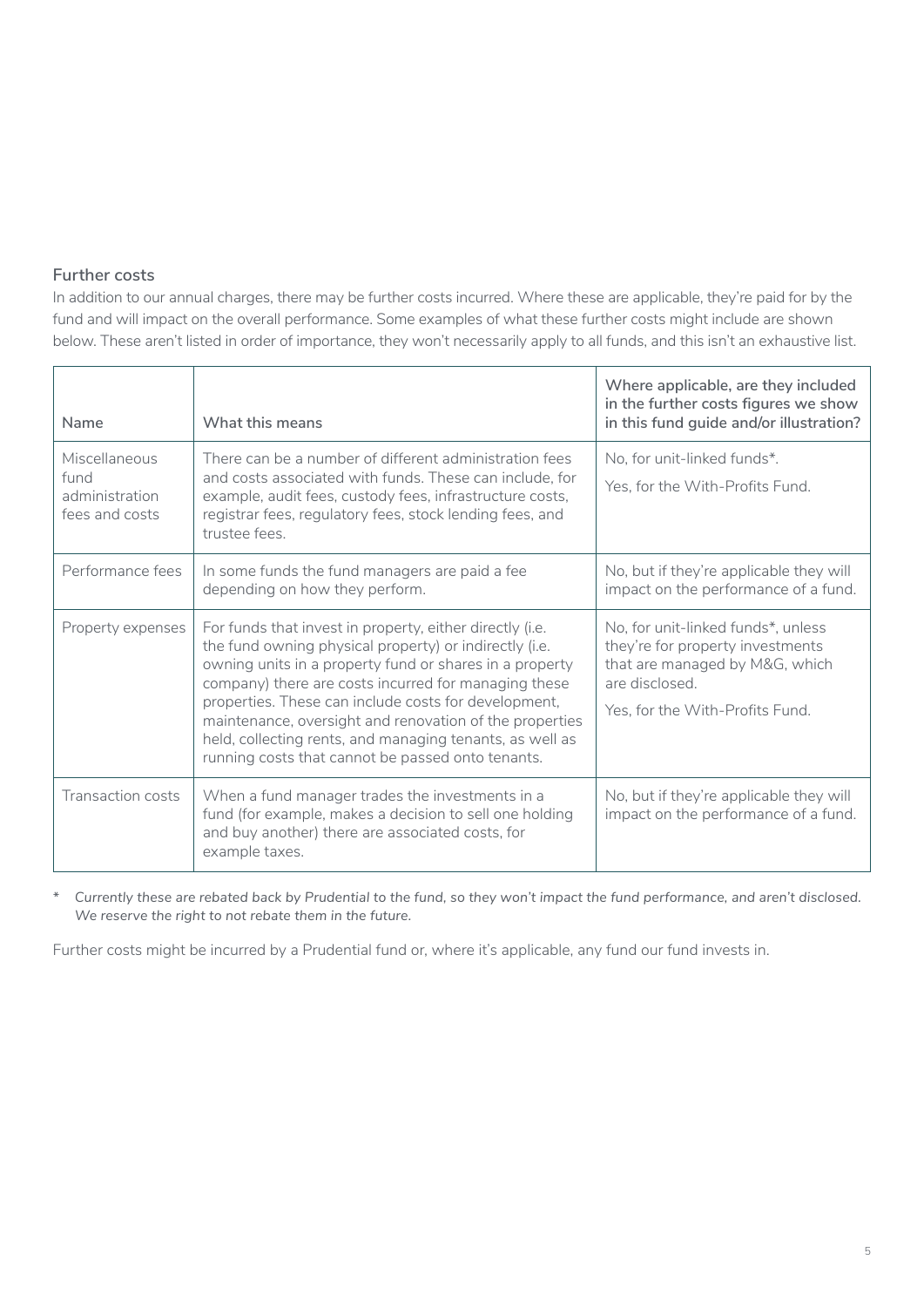#### **Further costs**

In addition to our annual charges, there may be further costs incurred. Where these are applicable, they're paid for by the fund and will impact on the overall performance. Some examples of what these further costs might include are shown below. These aren't listed in order of importance, they won't necessarily apply to all funds, and this isn't an exhaustive list.

| Name                                                      | What this means                                                                                                                                                                                                                                                                                                                                                                                                                                                           | Where applicable, are they included<br>in the further costs figures we show<br>in this fund guide and/or illustration?                                        |
|-----------------------------------------------------------|---------------------------------------------------------------------------------------------------------------------------------------------------------------------------------------------------------------------------------------------------------------------------------------------------------------------------------------------------------------------------------------------------------------------------------------------------------------------------|---------------------------------------------------------------------------------------------------------------------------------------------------------------|
| Miscellaneous<br>fund<br>administration<br>fees and costs | There can be a number of different administration fees<br>and costs associated with funds. These can include, for<br>example, audit fees, custody fees, infrastructure costs,<br>registrar fees, regulatory fees, stock lending fees, and<br>trustee fees.                                                                                                                                                                                                                | No, for unit-linked funds*.<br>Yes, for the With-Profits Fund.                                                                                                |
| Performance fees                                          | In some funds the fund managers are paid a fee<br>depending on how they perform.                                                                                                                                                                                                                                                                                                                                                                                          | No, but if they're applicable they will<br>impact on the performance of a fund.                                                                               |
| Property expenses                                         | For funds that invest in property, either directly (i.e.<br>the fund owning physical property) or indirectly (i.e.<br>owning units in a property fund or shares in a property<br>company) there are costs incurred for managing these<br>properties. These can include costs for development,<br>maintenance, oversight and renovation of the properties<br>held, collecting rents, and managing tenants, as well as<br>running costs that cannot be passed onto tenants. | No, for unit-linked funds*, unless<br>they're for property investments<br>that are managed by M&G, which<br>are disclosed.<br>Yes, for the With-Profits Fund. |
| Transaction costs                                         | When a fund manager trades the investments in a<br>fund (for example, makes a decision to sell one holding<br>and buy another) there are associated costs, for<br>example taxes.                                                                                                                                                                                                                                                                                          | No, but if they're applicable they will<br>impact on the performance of a fund.                                                                               |

*\* Currently these are rebated back by Prudential to the fund, so they won't impact the fund performance, and aren't disclosed. We reserve the right to not rebate them in the future.* 

Further costs might be incurred by a Prudential fund or, where it's applicable, any fund our fund invests in.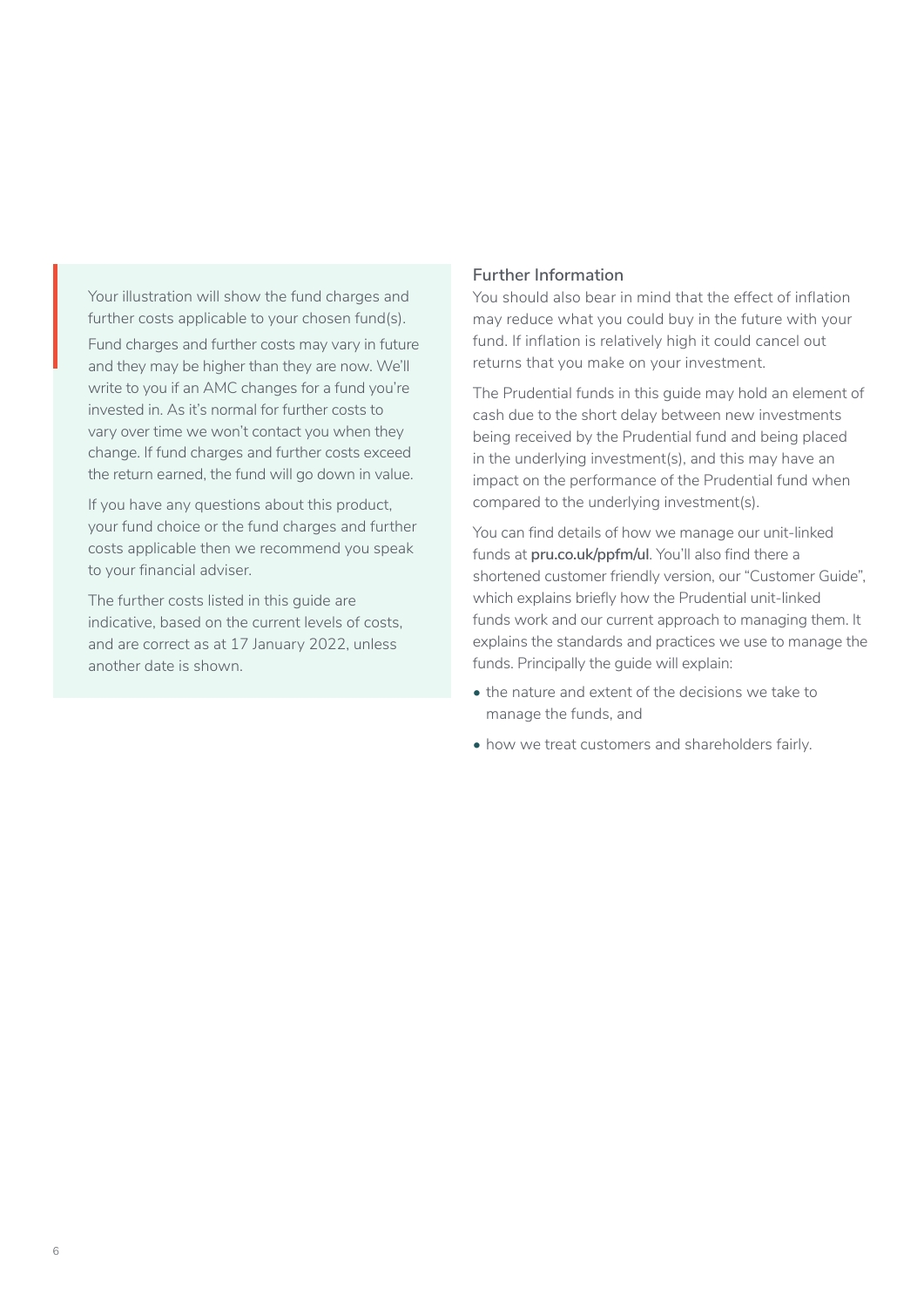Your illustration will show the fund charges and further costs applicable to your chosen fund(s).

Fund charges and further costs may vary in future and they may be higher than they are now. We'll write to you if an AMC changes for a fund you're invested in. As it's normal for further costs to vary over time we won't contact you when they change. If fund charges and further costs exceed the return earned, the fund will go down in value.

If you have any questions about this product, your fund choice or the fund charges and further costs applicable then we recommend you speak to your financial adviser.

The further costs listed in this guide are indicative, based on the current levels of costs, and are correct as at 17 January 2022, unless another date is shown.

#### **Further Information**

You should also bear in mind that the effect of inflation may reduce what you could buy in the future with your fund. If inflation is relatively high it could cancel out returns that you make on your investment.

The Prudential funds in this guide may hold an element of cash due to the short delay between new investments being received by the Prudential fund and being placed in the underlying investment(s), and this may have an impact on the performance of the Prudential fund when compared to the underlying investment(s).

You can find details of how we manage our unit-linked funds at **[pru.co.uk/ppfm/ul](https://www.pru.co.uk/funds/psulpp/?utm_source=redirect&utm_medium=301&utm_campaign=/ppfm/ul)**. You'll also find there a shortened customer friendly version, our "Customer Guide", which explains briefly how the Prudential unit-linked funds work and our current approach to managing them. It explains the standards and practices we use to manage the funds. Principally the guide will explain:

- the nature and extent of the decisions we take to manage the funds, and
- how we treat customers and shareholders fairly.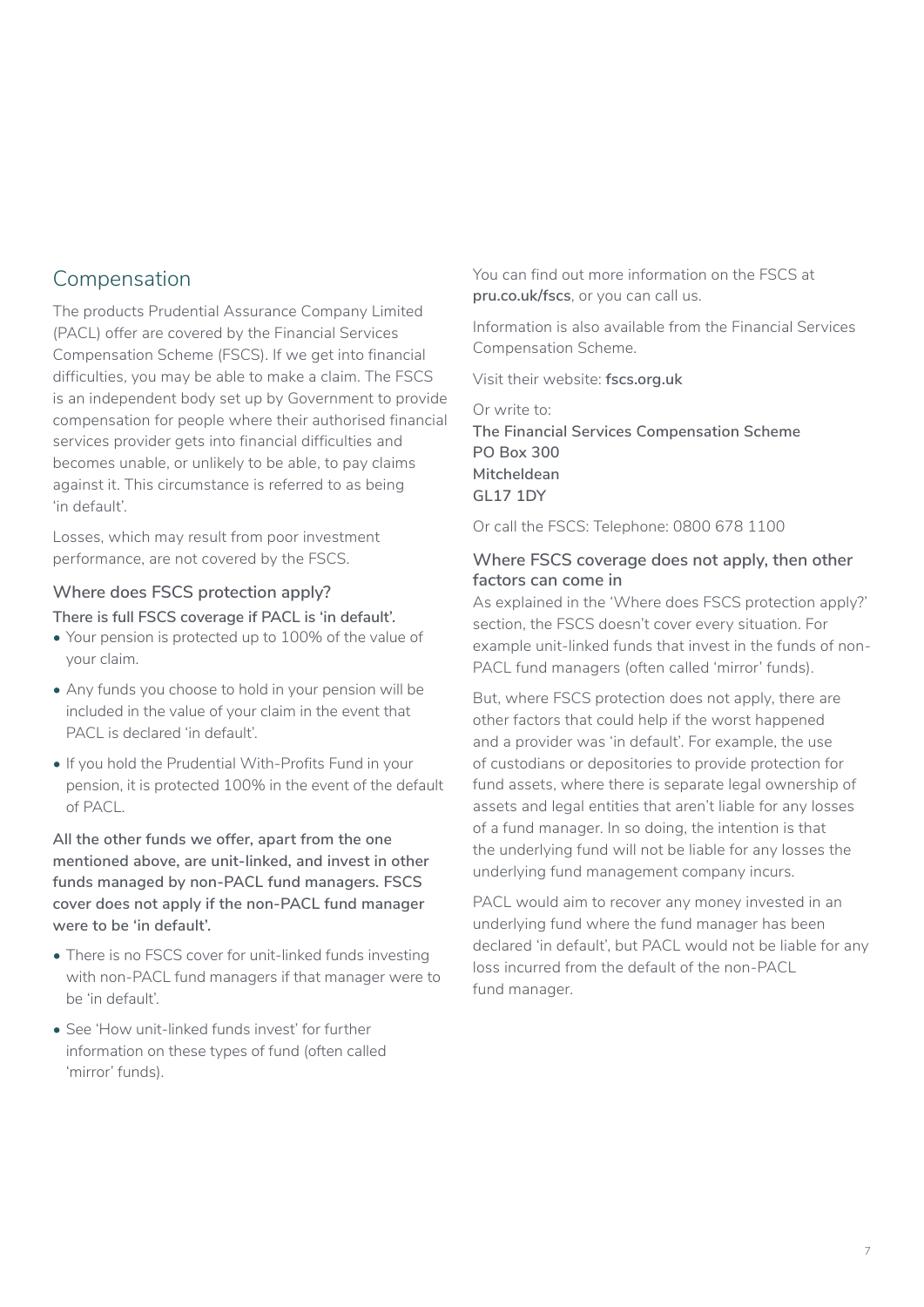## Compensation

The products Prudential Assurance Company Limited (PACL) offer are covered by the Financial Services Compensation Scheme (FSCS). If we get into financial difficulties, you may be able to make a claim. The FSCS is an independent body set up by Government to provide compensation for people where their authorised financial services provider gets into financial difficulties and becomes unable, or unlikely to be able, to pay claims against it. This circumstance is referred to as being 'in default'.

Losses, which may result from poor investment performance, are not covered by the FSCS.

#### **Where does FSCS protection apply?**

**There is full FSCS coverage if PACL is 'in default'.**

- Your pension is protected up to 100% of the value of your claim.
- Any funds you choose to hold in your pension will be included in the value of your claim in the event that PACL is declared 'in default'.
- If you hold the Prudential With-Profits Fund in your pension, it is protected 100% in the event of the default of PACL.

**All the other funds we offer, apart from the one mentioned above, are unit-linked, and invest in other funds managed by non-PACL fund managers. FSCS cover does not apply if the non-PACL fund manager were to be 'in default'.** 

- There is no FSCS cover for unit-linked funds investing with non-PACL fund managers if that manager were to be 'in default'.
- See 'How unit-linked funds invest' for further information on these types of fund (often called 'mirror' funds).

You can find out more information on the FSCS at **[pru.co.uk/fscs](https://www.pru.co.uk/fscs/)**, or you can call us.

Information is also available from the Financial Services Compensation Scheme.

Visit their website: **[fscs.org.uk](https://www.fscs.org.uk/)**

Or write to: **The Financial Services Compensation Scheme PO Box 300 Mitcheldean GL17 1DY** 

Or call the FSCS: Telephone: 0800 678 1100

#### **Where FSCS coverage does not apply, then other factors can come in**

As explained in the 'Where does FSCS protection apply?' section, the FSCS doesn't cover every situation. For example unit-linked funds that invest in the funds of non-PACL fund managers (often called 'mirror' funds).

But, where FSCS protection does not apply, there are other factors that could help if the worst happened and a provider was 'in default'. For example, the use of custodians or depositories to provide protection for fund assets, where there is separate legal ownership of assets and legal entities that aren't liable for any losses of a fund manager. In so doing, the intention is that the underlying fund will not be liable for any losses the underlying fund management company incurs.

PACL would aim to recover any money invested in an underlying fund where the fund manager has been declared 'in default', but PACL would not be liable for any loss incurred from the default of the non-PACL fund manager.